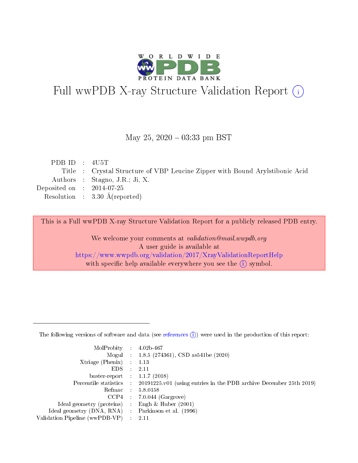

# Full wwPDB X-ray Structure Validation Report (i)

#### May 25,  $2020 - 03:33$  pm BST

| PDB ID : $4U5T$             |                                                                              |
|-----------------------------|------------------------------------------------------------------------------|
|                             | Title : Crystal Structure of VBP Leucine Zipper with Bound Arylstibonic Acid |
|                             | Authors : Stagno, J.R.; Ji, X.                                               |
| Deposited on : $2014-07-25$ |                                                                              |
|                             | Resolution : $3.30 \text{ Å}$ (reported)                                     |
|                             |                                                                              |

This is a Full wwPDB X-ray Structure Validation Report for a publicly released PDB entry.

We welcome your comments at validation@mail.wwpdb.org A user guide is available at <https://www.wwpdb.org/validation/2017/XrayValidationReportHelp> with specific help available everywhere you see the  $(i)$  symbol.

The following versions of software and data (see [references](https://www.wwpdb.org/validation/2017/XrayValidationReportHelp#references)  $(1)$ ) were used in the production of this report:

| MolProbity :                   |               | $4.02b - 467$                                                               |
|--------------------------------|---------------|-----------------------------------------------------------------------------|
|                                |               | Mogul : $1.8.5$ (274361), CSD as 541be (2020)                               |
| $X$ triage (Phenix) :          |               | 1.13                                                                        |
| EDS.                           |               | 2.11                                                                        |
| buster-report : $1.1.7$ (2018) |               |                                                                             |
| Percentile statistics :        |               | $20191225 \text{v}01$ (using entries in the PDB archive December 25th 2019) |
| Refmac :                       |               | 5.8.0158                                                                    |
| $CCP4$ :                       |               | $7.0.044$ (Gargrove)                                                        |
| Ideal geometry (proteins) :    |               | Engh $\&$ Huber (2001)                                                      |
| Ideal geometry (DNA, RNA) :    |               | Parkinson et al. (1996)                                                     |
| Validation Pipeline (wwPDB-VP) | $\mathcal{L}$ | 2.11                                                                        |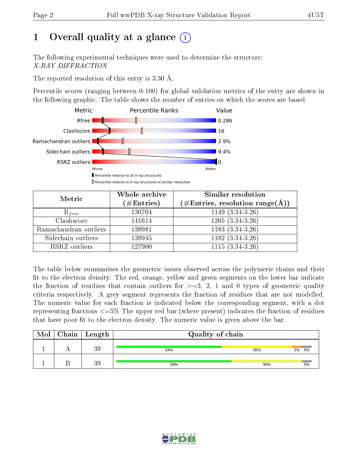# 1 [O](https://www.wwpdb.org/validation/2017/XrayValidationReportHelp#overall_quality)verall quality at a glance  $(i)$

The following experimental techniques were used to determine the structure: X-RAY DIFFRACTION

The reported resolution of this entry is 3.30 Å.

Percentile scores (ranging between 0-100) for global validation metrics of the entry are shown in the following graphic. The table shows the number of entries on which the scores are based.



| Metric                | Whole archive<br>$(\#\text{Entries})$ | <b>Similar resolution</b><br>$(\#\text{Entries}, \text{resolution range}(\text{\AA}))$ |  |  |
|-----------------------|---------------------------------------|----------------------------------------------------------------------------------------|--|--|
| $R_{free}$            | 130704                                | 1149 $(3.34 - 3.\overline{26})$                                                        |  |  |
| Clashscore            | 141614                                | $1205(3.34-3.26)$                                                                      |  |  |
| Ramachandran outliers | 138981                                | $1183(3.34-3.26)$                                                                      |  |  |
| Sidechain outliers    | 138945                                | $1182(3.34-3.26)$                                                                      |  |  |
| RSRZ outliers         | 127900                                | $1115(3.34-3.26)$                                                                      |  |  |

The table below summarises the geometric issues observed across the polymeric chains and their fit to the electron density. The red, orange, yellow and green segments on the lower bar indicate the fraction of residues that contain outliers for  $>=3, 2, 1$  and 0 types of geometric quality criteria respectively. A grey segment represents the fraction of residues that are not modelled. The numeric value for each fraction is indicated below the corresponding segment, with a dot representing fractions <=5% The upper red bar (where present) indicates the fraction of residues that have poor fit to the electron density. The numeric value is given above the bar.

| Mol | $\vert$ Chain $\vert$ Length | Quality of chain |     |       |
|-----|------------------------------|------------------|-----|-------|
|     | 39                           | 54%              | 36% | 5% 5% |
|     | 39                           | 59%              | 36% | 5%    |

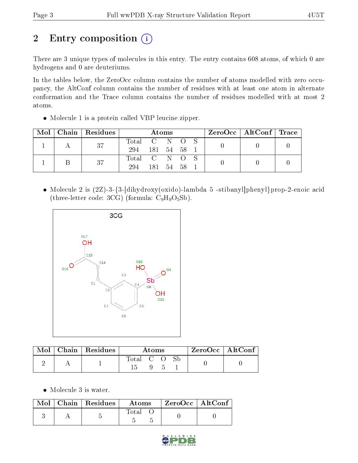# 2 Entry composition (i)

There are 3 unique types of molecules in this entry. The entry contains 608 atoms, of which 0 are hydrogens and 0 are deuteriums.

In the tables below, the ZeroOcc column contains the number of atoms modelled with zero occupancy, the AltConf column contains the number of residues with at least one atom in alternate conformation and the Trace column contains the number of residues modelled with at most 2 atoms.

Molecule 1 is a protein called VBP leucine zipper.

| Mol | Chain | $\vert$ Residues $\vert$ | <b>Atoms</b> |           |    |  | ZeroOcc   AltConf   Trace |  |  |
|-----|-------|--------------------------|--------------|-----------|----|--|---------------------------|--|--|
|     |       | -37                      | Total        | C N O     |    |  |                           |  |  |
|     |       |                          | 294          | 181 54 58 |    |  |                           |  |  |
|     |       | 37                       | Total C N O  |           |    |  |                           |  |  |
|     |       |                          | 294          | 181       | 54 |  |                           |  |  |

 Molecule 2 is (2Z)-3-{3-[dihydroxy(oxido)-lambda 5 -stibanyl]phenyl}prop-2-enoic acid (three-letter code: 3CG) (formula:  $C_9H_9O_5Sb$ ).



| Mol | Chain   Residues | Atoms     |  |  |  | $ZeroOcc \mid AltConf$ |
|-----|------------------|-----------|--|--|--|------------------------|
|     |                  | Total C O |  |  |  |                        |

• Molecule 3 is water.

|  | $\text{Mol}$   Chain   Residues | Atoms | $\rm ZeroOcc \mid AltConf$ |  |
|--|---------------------------------|-------|----------------------------|--|
|  |                                 | Total |                            |  |

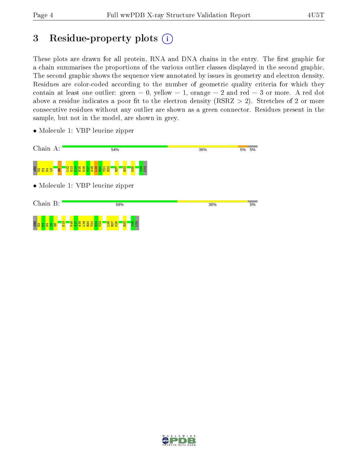## 3 Residue-property plots  $(i)$

These plots are drawn for all protein, RNA and DNA chains in the entry. The first graphic for a chain summarises the proportions of the various outlier classes displayed in the second graphic. The second graphic shows the sequence view annotated by issues in geometry and electron density. Residues are color-coded according to the number of geometric quality criteria for which they contain at least one outlier: green  $= 0$ , yellow  $= 1$ , orange  $= 2$  and red  $= 3$  or more. A red dot above a residue indicates a poor fit to the electron density (RSRZ  $> 2$ ). Stretches of 2 or more consecutive residues without any outlier are shown as a green connector. Residues present in the sample, but not in the model, are shown in grey.

• Molecule 1: VBP leucine zipper



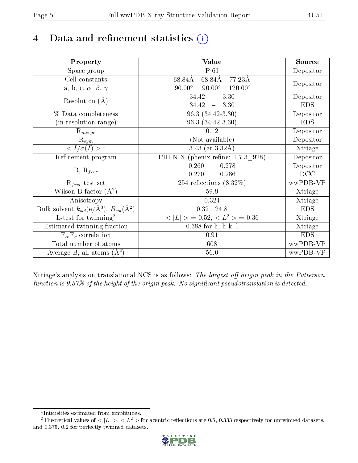# 4 Data and refinement statistics  $(i)$

| Property                                                             | Value                                              | Source     |
|----------------------------------------------------------------------|----------------------------------------------------|------------|
| Space group                                                          | $P_61$                                             | Depositor  |
| Cell constants                                                       | 68.84Å<br>77.23Å<br>68.84Å                         |            |
| a, b, c, $\alpha$ , $\beta$ , $\gamma$                               | $90.00^\circ$<br>$90.00^\circ$<br>$120.00^{\circ}$ | Depositor  |
| Resolution $(A)$                                                     | $-3.30$<br>34.42                                   | Depositor  |
|                                                                      | 34.42<br>$-3.30$                                   | <b>EDS</b> |
| % Data completeness                                                  | $96.3(34.42-3.30)$                                 | Depositor  |
| (in resolution range)                                                | 96.3 (34.42-3.30)                                  | <b>EDS</b> |
| $\mathrm{R}_{merge}$                                                 | 0.12                                               | Depositor  |
| $\mathrm{R}_{sym}$                                                   | $\overline{\text{(Not available)}}$                | Depositor  |
| $\sqrt{I/\sigma}(I) > 1$                                             | 3.43 (at $3.32\text{\AA}$ )                        | Xtriage    |
| Refinement program                                                   | PHENIX (phenix.refine: 1.7.3_928)                  | Depositor  |
| $R, R_{free}$                                                        | $\overline{0.260}$ ,<br>0.278                      | Depositor  |
|                                                                      | 0.270<br>0.286                                     | DCC        |
| $R_{free}$ test set                                                  | 254 reflections $(8.32\%)$                         | wwPDB-VP   |
| Wilson B-factor $(A^2)$                                              | 59.9                                               | Xtriage    |
| Anisotropy                                                           | 0.324                                              | Xtriage    |
| Bulk solvent $k_{sol}(e/\mathring{A}^3)$ , $B_{sol}(\mathring{A}^2)$ | $0.32$ , $24.8$                                    | <b>EDS</b> |
| L-test for twinning <sup>2</sup>                                     | $< L >$ = 0.52, $< L2$ = 0.36                      | Xtriage    |
| Estimated twinning fraction                                          | $0.388$ for h,-h-k,-l                              | Xtriage    |
| $F_o, F_c$ correlation                                               | 0.91                                               | <b>EDS</b> |
| Total number of atoms                                                | 608                                                | wwPDB-VP   |
| Average B, all atoms $(A^2)$                                         | $56.0\,$                                           | wwPDB-VP   |

Xtriage's analysis on translational NCS is as follows: The largest off-origin peak in the Patterson function is  $9.37\%$  of the height of the origin peak. No significant pseudotranslation is detected.

<sup>&</sup>lt;sup>2</sup>Theoretical values of  $\langle |L| \rangle$ ,  $\langle L^2 \rangle$  for acentric reflections are 0.5, 0.333 respectively for untwinned datasets, and 0.375, 0.2 for perfectly twinned datasets.



<span id="page-4-1"></span><span id="page-4-0"></span><sup>1</sup> Intensities estimated from amplitudes.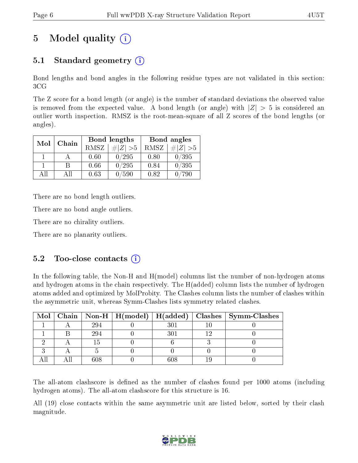## 5 Model quality  $(i)$

## 5.1 Standard geometry  $(i)$

Bond lengths and bond angles in the following residue types are not validated in this section: 3CG

The Z score for a bond length (or angle) is the number of standard deviations the observed value is removed from the expected value. A bond length (or angle) with  $|Z| > 5$  is considered an outlier worth inspection. RMSZ is the root-mean-square of all Z scores of the bond lengths (or angles).

| Mol | Chain |      | Bond lengths | Bond angles |             |  |
|-----|-------|------|--------------|-------------|-------------|--|
|     |       | RMSZ | $\# Z  > 5$  | RMSZ        | $\ Z\  > 5$ |  |
|     |       | 0.60 | 0/295        | 0.80        | 0/395       |  |
|     |       | 0.66 | 0/295        | 0.84        | 0/395       |  |
| ΔH  | A 11  | 0.63 | '590         | 0.82        | 790         |  |

There are no bond length outliers.

There are no bond angle outliers.

There are no chirality outliers.

There are no planarity outliers.

#### $5.2$  Too-close contacts  $(i)$

In the following table, the Non-H and H(model) columns list the number of non-hydrogen atoms and hydrogen atoms in the chain respectively. The H(added) column lists the number of hydrogen atoms added and optimized by MolProbity. The Clashes column lists the number of clashes within the asymmetric unit, whereas Symm-Clashes lists symmetry related clashes.

| Mol |     |     | Chain   Non-H   H(model)   H(added)   Clashes   Symm-Clashes |
|-----|-----|-----|--------------------------------------------------------------|
|     | 294 | 301 |                                                              |
|     | 294 |     |                                                              |
|     |     |     |                                                              |
|     |     |     |                                                              |
|     | 60Ջ |     |                                                              |

The all-atom clashscore is defined as the number of clashes found per 1000 atoms (including hydrogen atoms). The all-atom clashscore for this structure is 16.

All (19) close contacts within the same asymmetric unit are listed below, sorted by their clash magnitude.

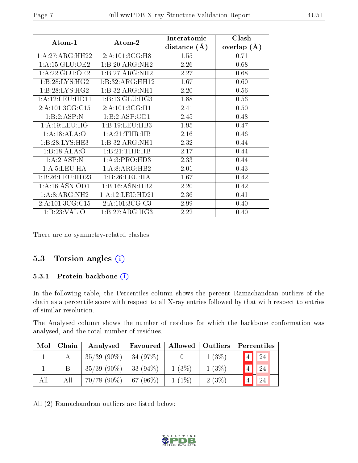| Atom-1            | Atom-2             | Interatomic<br>distance $(A)$ | Clash<br>overlap $(A)$ |
|-------------------|--------------------|-------------------------------|------------------------|
| 1:A:27:ARG:HH22   | 2: A: 101: 3CG: H8 | 1.55                          | 0.71                   |
| 1:A:15:GLU:OE2    | 1:B:20:ARG:NH2     | 2.26                          | 0.68                   |
| 1: A:22: GLU:OE2  | 1:B:27:ARG:NH2     | 2.27                          | 0.68                   |
| 1:B:28:LYS:HG2    | 1:B:32:ARG:HH12    | 1.67                          | 0.60                   |
| 1: B:28: LYS: HG2 | 1:B:32:ARG:NH1     | 2.20                          | 0.56                   |
| 1: A:12:LEU:HD11  | 1: B: 13: GLU: HG3 | 1.88                          | 0.56                   |
| 2:A:101:3CG:CI5   | 2:A:101:3CG:H1     | 2.41                          | 0.50                   |
| 1:B:2:ASP:N       | 1:B:2:ASP:OD1      | 2.45                          | 0.48                   |
| 1:A:19:LEU:HG     | 1:B:19:LEU:HB3     | 1.95                          | 0.47                   |
| 1:A:18:ALA:O      | 1:A:21:THR:HB      | 2.16                          | 0.46                   |
| 1:B:28:LYS:HE3    | 1:B:32:ARG:NH1     | 2.32                          | 0.44                   |
| 1:B:18:ALA:O      | 1:B:21:THR:HB      | 2.17                          | 0.44                   |
| 1:A:2:ASP:N       | 1:A:3:PRO:HD3      | 2.33                          | 0.44                   |
| 1: A: 5: LEU: HA  | 1: A:8: ARG: HB2   | 2.01                          | 0.43                   |
| 1:B:26:LEU:HD23   | 1:B:26:LEU:HA      | 1.67                          | 0.42                   |
| 1:A:16:ASN:OD1    | 1:B:16:ASN:HB2     | 2.20                          | 0.42                   |
| 1: A:8: ARG: NH2  | 1:A:12:LEU:HD21    | 2.36                          | 0.41                   |
| 2:A:101:3CG:CI5   | 2:A:101:3CG:C3     | 2.99                          | 0.40                   |
| 1: B:23: VAL:O    | 1:B:27:ARG:HG3     | 2.22                          | 0.40                   |

There are no symmetry-related clashes.

### 5.3 Torsion angles (i)

#### 5.3.1 Protein backbone (i)

In the following table, the Percentiles column shows the percent Ramachandran outliers of the chain as a percentile score with respect to all X-ray entries followed by that with respect to entries of similar resolution.

The Analysed column shows the number of residues for which the backbone conformation was analysed, and the total number of residues.

| Mol | Chain | Analysed       | Favoured    | Allowed   Outliers |          | Percentiles |
|-----|-------|----------------|-------------|--------------------|----------|-------------|
|     |       | $35/39(90\%)$  | 34 $(97%)$  |                    | $1(3\%)$ | 24          |
|     |       | $35/39(90\%)$  | $33(94\%)$  | $1(3\%)$           | $1(3\%)$ | 24          |
| All | All   | $70/78~(90\%)$ | 67 $(96\%)$ | $1(1\%)$           | 2(3%)    |             |

All (2) Ramachandran outliers are listed below:

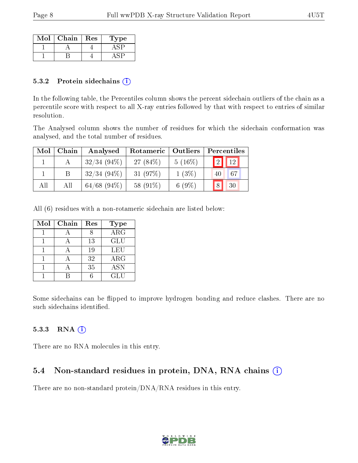| Mol | Chain | Res | L'ype |
|-----|-------|-----|-------|
|     |       |     |       |
|     |       |     |       |

#### 5.3.2 Protein sidechains (i)

In the following table, the Percentiles column shows the percent sidechain outliers of the chain as a percentile score with respect to all X-ray entries followed by that with respect to entries of similar resolution.

The Analysed column shows the number of residues for which the sidechain conformation was analysed, and the total number of residues.

| Mol | Chain | Analysed       | Rotameric   | $\vert$ Outliers | Percentiles            |  |  |
|-----|-------|----------------|-------------|------------------|------------------------|--|--|
|     |       | $32/34(94\%)$  | 27 $(84\%)$ | $5(16\%)$        | $\boxed{2}$            |  |  |
|     |       | $32/34(94\%)$  | $31(97\%)$  | $1(3\%)$         | 67<br>40               |  |  |
| All | Аll   | $64/68$ (94\%) | 58 (91\%)   | 6 $(9\%)$        | 18 <sub>1</sub><br> 30 |  |  |

All (6) residues with a non-rotameric sidechain are listed below:

| Mol | Chain | Res | Type                    |
|-----|-------|-----|-------------------------|
|     |       |     | $\overline{\text{ARG}}$ |
|     |       | 13  | <b>GLU</b>              |
|     |       | 19  | LEU                     |
|     |       | 32  | $\rm{ARG}$              |
|     |       | 35  | <b>ASN</b>              |
|     |       |     | GLU                     |

Some sidechains can be flipped to improve hydrogen bonding and reduce clashes. There are no such sidechains identified.

#### 5.3.3 RNA (i)

There are no RNA molecules in this entry.

### 5.4 Non-standard residues in protein, DNA, RNA chains (i)

There are no non-standard protein/DNA/RNA residues in this entry.

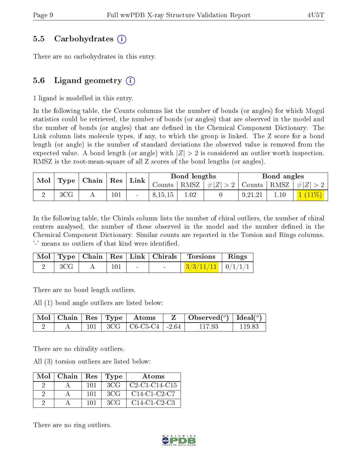#### 5.5 Carbohydrates (i)

There are no carbohydrates in this entry.

### 5.6 Ligand geometry  $(i)$

1 ligand is modelled in this entry.

In the following table, the Counts columns list the number of bonds (or angles) for which Mogul statistics could be retrieved, the number of bonds (or angles) that are observed in the model and the number of bonds (or angles) that are defined in the Chemical Component Dictionary. The Link column lists molecule types, if any, to which the group is linked. The Z score for a bond length (or angle) is the number of standard deviations the observed value is removed from the expected value. A bond length (or angle) with  $|Z| > 2$  is considered an outlier worth inspection. RMSZ is the root-mean-square of all Z scores of the bond lengths (or angles).

| $\parallel$ Mol $\parallel$ Type $\parallel$ Chain $\parallel$ Res $\parallel$ Link $\parallel$ |                 |  |         |         |          |                                                                   |         |      |  |  |  |  |  |  |  |  |  |  |  | Bond lengths |  |  | Bond angles |  |
|-------------------------------------------------------------------------------------------------|-----------------|--|---------|---------|----------|-------------------------------------------------------------------|---------|------|--|--|--|--|--|--|--|--|--|--|--|--------------|--|--|-------------|--|
|                                                                                                 |                 |  |         |         |          | Counts   RMSZ $\mid \#  Z  > 2$   Counts   RMSZ $\mid \#  Z  > 2$ |         |      |  |  |  |  |  |  |  |  |  |  |  |              |  |  |             |  |
|                                                                                                 | 3 <sub>CG</sub> |  | $101\,$ | 8,15,15 | $1.02\,$ |                                                                   | 9.21.21 | 1.10 |  |  |  |  |  |  |  |  |  |  |  |              |  |  |             |  |

In the following table, the Chirals column lists the number of chiral outliers, the number of chiral centers analysed, the number of these observed in the model and the number defined in the Chemical Component Dictionary. Similar counts are reported in the Torsion and Rings columns. '-' means no outliers of that kind were identified.

|              |     |  | Mol   Type   Chain   Res   Link   Chirals   Torsions   Rings |  |
|--------------|-----|--|--------------------------------------------------------------|--|
| $ +$ 3CG $+$ | 101 |  | $\mid 3/3/11/11 \mid 0/1/1/1 \mid$                           |  |

There are no bond length outliers.

All (1) bond angle outliers are listed below:

|  |  | $\mid$ Mol $\mid$ Chain $\mid$ Res $\mid$ Type $\mid$ Atoms | $\vert$ Observed $(^\circ)$ $\vert$ Ideal $(^\circ)$ |        |
|--|--|-------------------------------------------------------------|------------------------------------------------------|--------|
|  |  | $\vert$ 3CG $\vert$ C6-C5-C4 $\vert$ -2.64                  | 117 93                                               | 119 83 |

There are no chirality outliers.

All (3) torsion outliers are listed below:

| $Mol$   Chain |     | Res   Type | Atoms                                                           |
|---------------|-----|------------|-----------------------------------------------------------------|
|               | 101 | 3CG        | $\mid$ C2-C1-C14-C15                                            |
|               | 101 | 3CG        | C <sub>14</sub> -C <sub>1</sub> -C <sub>2</sub> -C <sub>7</sub> |
|               | 101 | 3CG        | $C14-C1-C2-C3$                                                  |

There are no ring outliers.

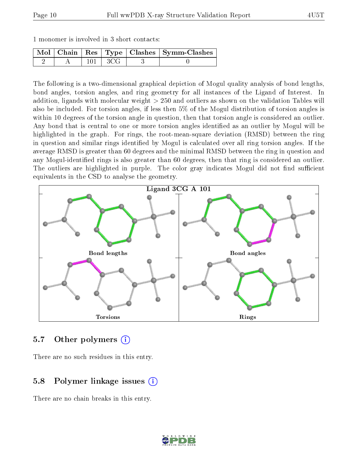|  | 1 monomer is involved in 3 short contacts: |  |  |  |  |  |
|--|--------------------------------------------|--|--|--|--|--|
|--|--------------------------------------------|--|--|--|--|--|

|  |         |       | Mol   Chain   Res   Type   Clashes   Symm-Clashes |
|--|---------|-------|---------------------------------------------------|
|  | $101 -$ | 1 3CG |                                                   |

The following is a two-dimensional graphical depiction of Mogul quality analysis of bond lengths, bond angles, torsion angles, and ring geometry for all instances of the Ligand of Interest. In addition, ligands with molecular weight > 250 and outliers as shown on the validation Tables will also be included. For torsion angles, if less then 5% of the Mogul distribution of torsion angles is within 10 degrees of the torsion angle in question, then that torsion angle is considered an outlier. Any bond that is central to one or more torsion angles identified as an outlier by Mogul will be highlighted in the graph. For rings, the root-mean-square deviation (RMSD) between the ring in question and similar rings identified by Mogul is calculated over all ring torsion angles. If the average RMSD is greater than 60 degrees and the minimal RMSD between the ring in question and any Mogul-identified rings is also greater than 60 degrees, then that ring is considered an outlier. The outliers are highlighted in purple. The color gray indicates Mogul did not find sufficient equivalents in the CSD to analyse the geometry.



#### 5.7 [O](https://www.wwpdb.org/validation/2017/XrayValidationReportHelp#nonstandard_residues_and_ligands)ther polymers  $(i)$

There are no such residues in this entry.

### 5.8 Polymer linkage issues (i)

There are no chain breaks in this entry.

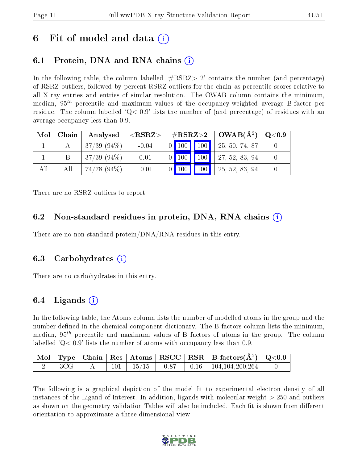## 6 Fit of model and data  $\left( \cdot \right)$

## 6.1 Protein, DNA and RNA chains (i)

In the following table, the column labelled  $#RSRZ>2'$  contains the number (and percentage) of RSRZ outliers, followed by percent RSRZ outliers for the chain as percentile scores relative to all X-ray entries and entries of similar resolution. The OWAB column contains the minimum, median,  $95<sup>th</sup>$  percentile and maximum values of the occupancy-weighted average B-factor per residue. The column labelled  $Q < 0.9$  lists the number of (and percentage) of residues with an average occupancy less than 0.9.

| Mol | Chain | Analysed         | ${ <\hspace{-1.5pt}{\mathrm{RSRZ}} \hspace{-1.5pt}>}$ |  | $\#RSRZ>2$   OWAB( $A^2$ )                                                                      | $\rm{Q}\textcolor{black}{<}0.9$ $\mid$ |
|-----|-------|------------------|-------------------------------------------------------|--|-------------------------------------------------------------------------------------------------|----------------------------------------|
|     |       | $37/39(94\%)$    | $-0.04$                                               |  | $\begin{array}{ c c c c c c c c c } \hline 0 & 100 & 100 & 25, 50, 74, 87 \ \hline \end{array}$ |                                        |
|     |       | $37/39(94\%)$    | 0.01                                                  |  | $\begin{array}{ c c c c c c c c c } \hline 0 & 100 & 27,52,83,94 \hline \end{array}$            |                                        |
| All | Αll   | $74/78$ $(94\%)$ | $-0.01$                                               |  | 0 100 100 $\vert$ 100 $\vert$ 25, 52, 83, 94                                                    |                                        |

There are no RSRZ outliers to report.

### 6.2 Non-standard residues in protein, DNA, RNA chains (i)

There are no non-standard protein/DNA/RNA residues in this entry.

#### 6.3 Carbohydrates (i)

There are no carbohydrates in this entry.

### 6.4 Ligands  $(i)$

In the following table, the Atoms column lists the number of modelled atoms in the group and the number defined in the chemical component dictionary. The B-factors column lists the minimum, median,  $95<sup>th</sup>$  percentile and maximum values of B factors of atoms in the group. The column labelled  $Q< 0.9$  lists the number of atoms with occupancy less than 0.9.

|             |  |  | $\boxed{\text{Mol}}$ Type   Chain   Res   Atoms   RSCC   RSR   B-factors $(\AA^2)$   Q<0.9 |  |
|-------------|--|--|--------------------------------------------------------------------------------------------|--|
| $3{\rm CG}$ |  |  | $101$   $15/15$   $0.87$   $0.16$   $104,104,200,264$                                      |  |

The following is a graphical depiction of the model fit to experimental electron density of all instances of the Ligand of Interest. In addition, ligands with molecular weight > 250 and outliers as shown on the geometry validation Tables will also be included. Each fit is shown from different orientation to approximate a three-dimensional view.